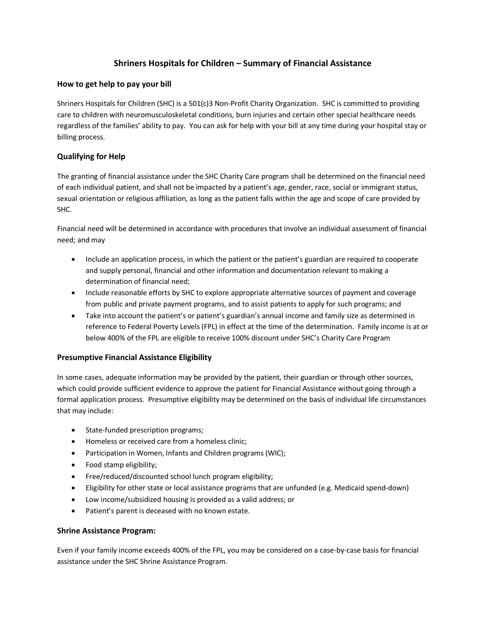## **Shriners Hospitals for Children – Summary of Financial Assistance**

### **How to get help to pay your bill**

Shriners Hospitals for Children (SHC) is a 501(c)3 Non-Profit Charity Organization. SHC is committed to providing care to children with neuromusculoskeletal conditions, burn injuries and certain other special healthcare needs regardless of the families' ability to pay. You can ask for help with your bill at any time during your hospital stay or billing process.

### **Qualifying for Help**

The granting of financial assistance under the SHC Charity Care program shall be determined on the financial need of each individual patient, and shall not be impacted by a patient's age, gender, race, social or immigrant status, sexual orientation or religious affiliation, as long as the patient falls within the age and scope of care provided by SHC.

Financial need will be determined in accordance with procedures that involve an individual assessment of financial need; and may

- Include an application process, in which the patient or the patient's guardian are required to cooperate and supply personal, financial and other information and documentation relevant to making a determination of financial need;
- Include reasonable efforts by SHC to explore appropriate alternative sources of payment and coverage from public and private payment programs, and to assist patients to apply for such programs; and
- Take into account the patient's or patient's guardian's annual income and family size as determined in reference to Federal Poverty Levels (FPL) in effect at the time of the determination. Family income is at or below 400% of the FPL are eligible to receive 100% discount under SHC's Charity Care Program

#### **Presumptive Financial Assistance Eligibility**

In some cases, adequate information may be provided by the patient, their guardian or through other sources, which could provide sufficient evidence to approve the patient for Financial Assistance without going through a formal application process. Presumptive eligibility may be determined on the basis of individual life circumstances that may include:

- State-funded prescription programs;
- Homeless or received care from a homeless clinic;
- Participation in Women, Infants and Children programs (WIC);
- Food stamp eligibility;
- Free/reduced/discounted school lunch program eligibility;
- Eligibility for other state or local assistance programs that are unfunded (e.g. Medicaid spend-down)
- Low income/subsidized housing is provided as a valid address; or
- Patient's parent is deceased with no known estate.

#### **Shrine Assistance Program:**

Even if your family income exceeds 400% of the FPL, you may be considered on a case-by-case basis for financial assistance under the SHC Shrine Assistance Program.